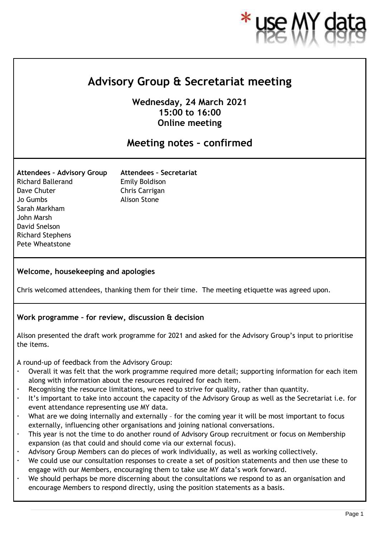

# **Advisory Group & Secretariat meeting**

**Wednesday, 24 March 2021 15:00 to 16:00 Online meeting**

# **Meeting notes – confirmed**

**Attendees – Advisory Group** Richard Ballerand Dave Chuter Jo Gumbs Sarah Markham John Marsh David Snelson Richard Stephens Pete Wheatstone

**Attendees – Secretariat** Emily Boldison Chris Carrigan Alison Stone

#### **Welcome, housekeeping and apologies**

Chris welcomed attendees, thanking them for their time. The meeting etiquette was agreed upon.

#### **Work programme – for review, discussion & decision**

Alison presented the draft work programme for 2021 and asked for the Advisory Group's input to prioritise the items.

A round-up of feedback from the Advisory Group:

- Overall it was felt that the work programme required more detail; supporting information for each item along with information about the resources required for each item.
- Recognising the resource limitations, we need to strive for quality, rather than quantity.
- It's important to take into account the capacity of the Advisory Group as well as the Secretariat i.e. for event attendance representing use MY data.
- What are we doing internally and externally for the coming year it will be most important to focus externally, influencing other organisations and joining national conversations.
- This year is not the time to do another round of Advisory Group recruitment or focus on Membership expansion (as that could and should come via our external focus).
- Advisory Group Members can do pieces of work individually, as well as working collectively.
- We could use our consultation responses to create a set of position statements and then use these to engage with our Members, encouraging them to take use MY data's work forward.
- We should perhaps be more discerning about the consultations we respond to as an organisation and encourage Members to respond directly, using the position statements as a basis.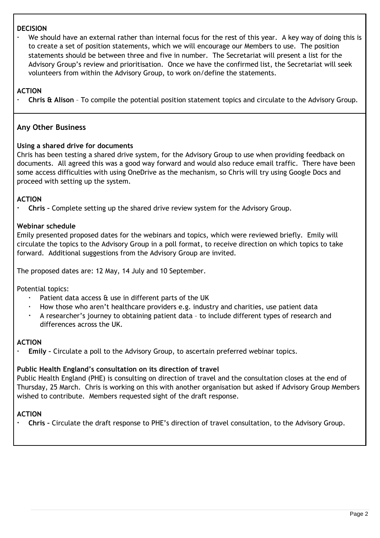#### **DECISION**

 We should have an external rather than internal focus for the rest of this year. A key way of doing this is to create a set of position statements, which we will encourage our Members to use. The position statements should be between three and five in number. The Secretariat will present a list for the Advisory Group's review and prioritisation. Once we have the confirmed list, the Secretariat will seek volunteers from within the Advisory Group, to work on/define the statements.

**ACTION**

**Chris & Alison** – To compile the potential position statement topics and circulate to the Advisory Group.

## **Any Other Business**

#### **Using a shared drive for documents**

Chris has been testing a shared drive system, for the Advisory Group to use when providing feedback on documents. All agreed this was a good way forward and would also reduce email traffic. There have been some access difficulties with using OneDrive as the mechanism, so Chris will try using Google Docs and proceed with setting up the system.

### **ACTION**

**Chris –** Complete setting up the shared drive review system for the Advisory Group.

#### **Webinar schedule**

Emily presented proposed dates for the webinars and topics, which were reviewed briefly. Emily will circulate the topics to the Advisory Group in a poll format, to receive direction on which topics to take forward. Additional suggestions from the Advisory Group are invited.

The proposed dates are: 12 May, 14 July and 10 September.

Potential topics:

- Patient data access & use in different parts of the UK
- How those who aren't healthcare providers e.g. industry and charities, use patient data
- A researcher's journey to obtaining patient data to include different types of research and differences across the UK.

#### **ACTION**

**Emily –** Circulate a poll to the Advisory Group, to ascertain preferred webinar topics.

#### **Public Health England's consultation on its direction of travel**

Public Health England (PHE) is consulting on direction of travel and the consultation closes at the end of Thursday, 25 March. Chris is working on this with another organisation but asked if Advisory Group Members wished to contribute. Members requested sight of the draft response.

#### **ACTION**

**Chris –** Circulate the draft response to PHE's direction of travel consultation, to the Advisory Group.